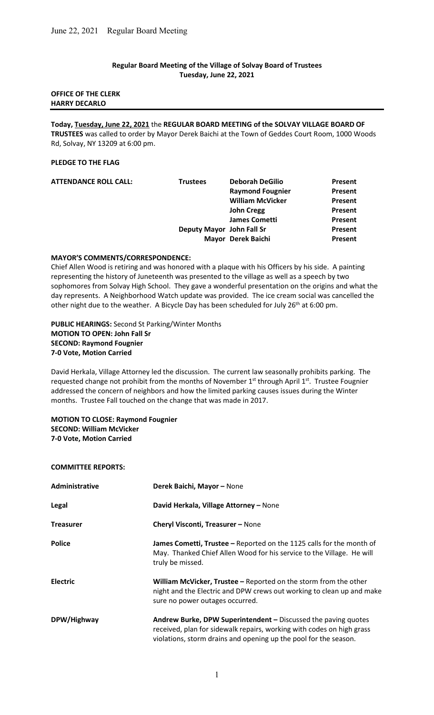# Regular Board Meeting of the Village of Solvay Board of Trustees Tuesday, June 22, 2021

# OFFICE OF THE CLERK HARRY DECARLO

Today, Tuesday, June 22, 2021 the REGULAR BOARD MEETING of the SOLVAY VILLAGE BOARD OF TRUSTEES was called to order by Mayor Derek Baichi at the Town of Geddes Court Room, 1000 Woods Rd, Solvay, NY 13209 at 6:00 pm.

# PLEDGE TO THE FLAG

| <b>Trustees</b> | <b>Deborah DeGilio</b>  | Present                                         |
|-----------------|-------------------------|-------------------------------------------------|
|                 | <b>Raymond Fougnier</b> | Present                                         |
|                 | <b>William McVicker</b> | Present                                         |
|                 | <b>John Cregg</b>       | Present                                         |
|                 | <b>James Cometti</b>    | <b>Present</b>                                  |
|                 |                         | Present                                         |
|                 |                         | Present                                         |
|                 |                         | Deputy Mayor John Fall Sr<br>Mayor Derek Baichi |

# MAYOR'S COMMENTS/CORRESPONDENCE:

Chief Allen Wood is retiring and was honored with a plaque with his Officers by his side. A painting representing the history of Juneteenth was presented to the village as well as a speech by two sophomores from Solvay High School. They gave a wonderful presentation on the origins and what the day represents. A Neighborhood Watch update was provided. The ice cream social was cancelled the other night due to the weather. A Bicycle Day has been scheduled for July 26<sup>th</sup> at 6:00 pm.

# PUBLIC HEARINGS: Second St Parking/Winter Months MOTION TO OPEN: John Fall Sr SECOND: Raymond Fougnier 7-0 Vote, Motion Carried

David Herkala, Village Attorney led the discussion. The current law seasonally prohibits parking. The requested change not prohibit from the months of November 1<sup>st</sup> through April 1<sup>st</sup>. Trustee Fougnier addressed the concern of neighbors and how the limited parking causes issues during the Winter months. Trustee Fall touched on the change that was made in 2017.

# MOTION TO CLOSE: Raymond Fougnier SECOND: William McVicker 7-0 Vote, Motion Carried

# COMMITTEE REPORTS:

| <b>Administrative</b> | Derek Baichi, Mayor - None                                                                                                                                                                                  |
|-----------------------|-------------------------------------------------------------------------------------------------------------------------------------------------------------------------------------------------------------|
| Legal                 | David Herkala, Village Attorney - None                                                                                                                                                                      |
| <b>Treasurer</b>      | Cheryl Visconti, Treasurer - None                                                                                                                                                                           |
| <b>Police</b>         | James Cometti, Trustee - Reported on the 1125 calls for the month of<br>May. Thanked Chief Allen Wood for his service to the Village. He will<br>truly be missed.                                           |
| <b>Electric</b>       | William McVicker, Trustee - Reported on the storm from the other<br>night and the Electric and DPW crews out working to clean up and make<br>sure no power outages occurred.                                |
| DPW/Highway           | Andrew Burke, DPW Superintendent - Discussed the paving quotes<br>received, plan for sidewalk repairs, working with codes on high grass<br>violations, storm drains and opening up the pool for the season. |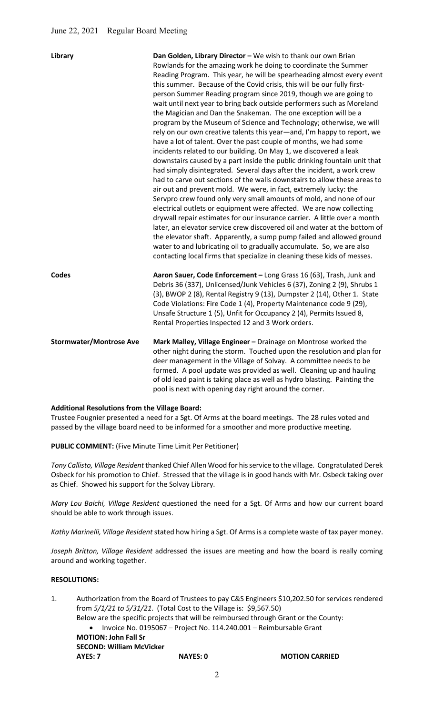| <b>Library</b>                 | Dan Golden, Library Director - We wish to thank our own Brian<br>Rowlands for the amazing work he doing to coordinate the Summer<br>Reading Program. This year, he will be spearheading almost every event<br>this summer. Because of the Covid crisis, this will be our fully first-<br>person Summer Reading program since 2019, though we are going to<br>wait until next year to bring back outside performers such as Moreland<br>the Magician and Dan the Snakeman. The one exception will be a<br>program by the Museum of Science and Technology; otherwise, we will<br>rely on our own creative talents this year-and, I'm happy to report, we<br>have a lot of talent. Over the past couple of months, we had some<br>incidents related to our building. On May 1, we discovered a leak<br>downstairs caused by a part inside the public drinking fountain unit that<br>had simply disintegrated. Several days after the incident, a work crew<br>had to carve out sections of the walls downstairs to allow these areas to<br>air out and prevent mold. We were, in fact, extremely lucky: the<br>Servpro crew found only very small amounts of mold, and none of our<br>electrical outlets or equipment were affected. We are now collecting<br>drywall repair estimates for our insurance carrier. A little over a month<br>later, an elevator service crew discovered oil and water at the bottom of<br>the elevator shaft. Apparently, a sump pump failed and allowed ground<br>water to and lubricating oil to gradually accumulate. So, we are also<br>contacting local firms that specialize in cleaning these kids of messes. |
|--------------------------------|--------------------------------------------------------------------------------------------------------------------------------------------------------------------------------------------------------------------------------------------------------------------------------------------------------------------------------------------------------------------------------------------------------------------------------------------------------------------------------------------------------------------------------------------------------------------------------------------------------------------------------------------------------------------------------------------------------------------------------------------------------------------------------------------------------------------------------------------------------------------------------------------------------------------------------------------------------------------------------------------------------------------------------------------------------------------------------------------------------------------------------------------------------------------------------------------------------------------------------------------------------------------------------------------------------------------------------------------------------------------------------------------------------------------------------------------------------------------------------------------------------------------------------------------------------------------------------------------------------------------------------------------------|
| <b>Codes</b>                   | Aaron Sauer, Code Enforcement - Long Grass 16 (63), Trash, Junk and<br>Debris 36 (337), Unlicensed/Junk Vehicles 6 (37), Zoning 2 (9), Shrubs 1<br>(3), BWOP 2 (8), Rental Registry 9 (13), Dumpster 2 (14), Other 1. State<br>Code Violations: Fire Code 1 (4), Property Maintenance code 9 (29),<br>Unsafe Structure 1 (5), Unfit for Occupancy 2 (4), Permits Issued 8,<br>Rental Properties Inspected 12 and 3 Work orders.                                                                                                                                                                                                                                                                                                                                                                                                                                                                                                                                                                                                                                                                                                                                                                                                                                                                                                                                                                                                                                                                                                                                                                                                                  |
| <b>Stormwater/Montrose Ave</b> | Mark Malley, Village Engineer - Drainage on Montrose worked the<br>other night during the storm. Touched upon the resolution and plan for<br>deer management in the Village of Solvay. A committee needs to be<br>formed. A pool update was provided as well. Cleaning up and hauling<br>of old lead paint is taking place as well as hydro blasting. Painting the<br>pool is next with opening day right around the corner.                                                                                                                                                                                                                                                                                                                                                                                                                                                                                                                                                                                                                                                                                                                                                                                                                                                                                                                                                                                                                                                                                                                                                                                                                     |

# Additional Resolutions from the Village Board:

Trustee Fougnier presented a need for a Sgt. Of Arms at the board meetings. The 28 rules voted and passed by the village board need to be informed for a smoother and more productive meeting.

PUBLIC COMMENT: (Five Minute Time Limit Per Petitioner)

Tony Callisto, Village Resident thanked Chief Allen Wood for his service to the village. Congratulated Derek Osbeck for his promotion to Chief. Stressed that the village is in good hands with Mr. Osbeck taking over as Chief. Showed his support for the Solvay Library.

Mary Lou Baichi, Village Resident questioned the need for a Sgt. Of Arms and how our current board should be able to work through issues.

Kathy Marinelli, Village Resident stated how hiring a Sgt. Of Arms is a complete waste of tax payer money.

Joseph Britton, Village Resident addressed the issues are meeting and how the board is really coming around and working together.

# RESOLUTIONS:

1. Authorization from the Board of Trustees to pay C&S Engineers \$10,202.50 for services rendered from 5/1/21 to 5/31/21. (Total Cost to the Village is: \$9,567.50) Below are the specific projects that will be reimbursed through Grant or the County:

• Invoice No. 0195067 - Project No. 114.240.001 - Reimbursable Grant

MOTION: John Fall Sr

 SECOND: William McVicker AYES: 7 NAYES: 0 MOTION CARRIED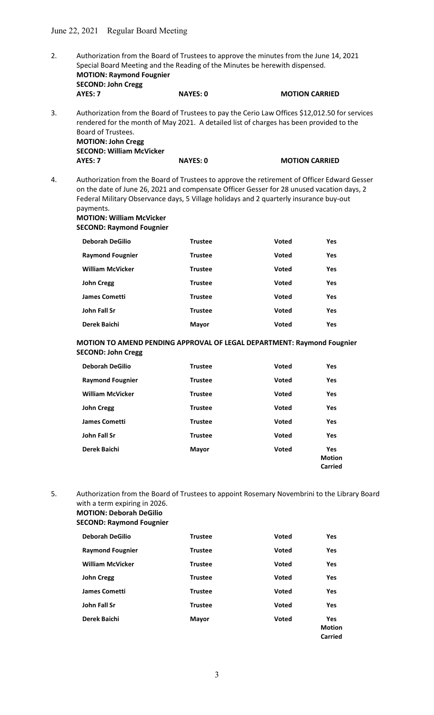- 2. Authorization from the Board of Trustees to approve the minutes from the June 14, 2021 Special Board Meeting and the Reading of the Minutes be herewith dispensed. MOTION: Raymond Fougnier SECOND: John Cregg AYES: 7 NAYES: 0 MOTION CARRIED 3. Authorization from the Board of Trustees to pay the Cerio Law Offices \$12,012.50 for services
- rendered for the month of May 2021. A detailed list of charges has been provided to the Board of Trustees. MOTION: John

| <b>IVIOTION: JOHN Cregg</b>     |                 |                       |
|---------------------------------|-----------------|-----------------------|
| <b>SECOND: William McVicker</b> |                 |                       |
| AYES: 7                         | <b>NAYES: 0</b> | <b>MOTION CARRIED</b> |

4. Authorization from the Board of Trustees to approve the retirement of Officer Edward Gesser on the date of June 26, 2021 and compensate Officer Gesser for 28 unused vacation days, 2 Federal Military Observance days, 5 Village holidays and 2 quarterly insurance buy-out payments.

# MOTION: William McVicker SECOND: Raymond Fougnier

| <b>Deborah DeGilio</b>  | <b>Trustee</b> | <b>Voted</b> | Yes        |
|-------------------------|----------------|--------------|------------|
| <b>Raymond Fougnier</b> | <b>Trustee</b> | <b>Voted</b> | <b>Yes</b> |
| <b>William McVicker</b> | <b>Trustee</b> | <b>Voted</b> | <b>Yes</b> |
| <b>John Cregg</b>       | <b>Trustee</b> | <b>Voted</b> | <b>Yes</b> |
| <b>James Cometti</b>    | <b>Trustee</b> | <b>Voted</b> | <b>Yes</b> |
| John Fall Sr            | <b>Trustee</b> | <b>Voted</b> | <b>Yes</b> |
| Derek Baichi            | <b>Mayor</b>   | <b>Voted</b> | <b>Yes</b> |

#### MOTION TO AMEND PENDING APPROVAL OF LEGAL DEPARTMENT: Raymond Fougnier SECOND: John Cregg

| <b>Deborah DeGilio</b>  | <b>Trustee</b> | <b>Voted</b> | <b>Yes</b>                             |
|-------------------------|----------------|--------------|----------------------------------------|
| <b>Raymond Fougnier</b> | <b>Trustee</b> | <b>Voted</b> | <b>Yes</b>                             |
| <b>William McVicker</b> | <b>Trustee</b> | <b>Voted</b> | Yes                                    |
| <b>John Cregg</b>       | <b>Trustee</b> | <b>Voted</b> | Yes                                    |
| <b>James Cometti</b>    | <b>Trustee</b> | <b>Voted</b> | Yes                                    |
| John Fall Sr            | <b>Trustee</b> | <b>Voted</b> | Yes                                    |
| Derek Baichi            | <b>Mayor</b>   | <b>Voted</b> | <b>Yes</b><br><b>Motion</b><br>Carried |

5. Authorization from the Board of Trustees to appoint Rosemary Novembrini to the Library Board with a term expiring in 2026. MOTION: Deborah DeGilio

SECOND: Raymond Fougnier

| <b>Deborah DeGilio</b>  | <b>Trustee</b> | <b>Voted</b> | <b>Yes</b>                             |
|-------------------------|----------------|--------------|----------------------------------------|
| <b>Raymond Fougnier</b> | <b>Trustee</b> | <b>Voted</b> | Yes                                    |
| <b>William McVicker</b> | <b>Trustee</b> | <b>Voted</b> | Yes                                    |
| <b>John Cregg</b>       | <b>Trustee</b> | <b>Voted</b> | Yes                                    |
| <b>James Cometti</b>    | <b>Trustee</b> | <b>Voted</b> | Yes                                    |
| John Fall Sr            | <b>Trustee</b> | <b>Voted</b> | Yes                                    |
| Derek Baichi            | <b>Mayor</b>   | <b>Voted</b> | Yes<br><b>Motion</b><br><b>Carried</b> |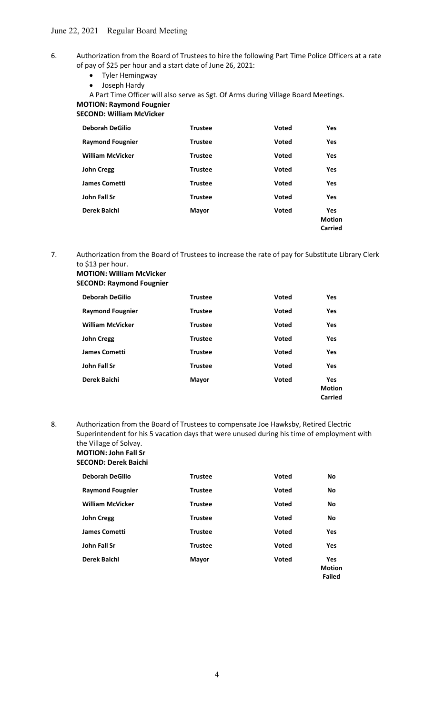- 6. Authorization from the Board of Trustees to hire the following Part Time Police Officers at a rate of pay of \$25 per hour and a start date of June 26, 2021:
	- Tyler Hemingway
		- Joseph Hardy

A Part Time Officer will also serve as Sgt. Of Arms during Village Board Meetings. MOTION: Raymond Fougnier

SECOND: William McVicker

| <b>Deborah DeGilio</b>  | <b>Trustee</b> | Voted        | <b>Yes</b>                             |
|-------------------------|----------------|--------------|----------------------------------------|
| <b>Raymond Fougnier</b> | <b>Trustee</b> | <b>Voted</b> | <b>Yes</b>                             |
| <b>William McVicker</b> | <b>Trustee</b> | <b>Voted</b> | <b>Yes</b>                             |
| <b>John Cregg</b>       | <b>Trustee</b> | <b>Voted</b> | <b>Yes</b>                             |
| <b>James Cometti</b>    | <b>Trustee</b> | <b>Voted</b> | Yes                                    |
| John Fall Sr            | <b>Trustee</b> | <b>Voted</b> | <b>Yes</b>                             |
| Derek Baichi            | <b>Mayor</b>   | <b>Voted</b> | <b>Yes</b><br><b>Motion</b><br>Carried |

7. Authorization from the Board of Trustees to increase the rate of pay for Substitute Library Clerk to \$13 per hour.

 MOTION: William McVicker SECOND: Raymond Fougnier

| <b>Deborah DeGilio</b>  | <b>Trustee</b> | Voted        | <b>Yes</b>                             |
|-------------------------|----------------|--------------|----------------------------------------|
| <b>Raymond Fougnier</b> | <b>Trustee</b> | <b>Voted</b> | Yes                                    |
| <b>William McVicker</b> | <b>Trustee</b> | <b>Voted</b> | Yes                                    |
| <b>John Cregg</b>       | <b>Trustee</b> | Voted        | <b>Yes</b>                             |
| <b>James Cometti</b>    | <b>Trustee</b> | <b>Voted</b> | Yes                                    |
| John Fall Sr            | <b>Trustee</b> | <b>Voted</b> | <b>Yes</b>                             |
| Derek Baichi            | <b>Mayor</b>   | <b>Voted</b> | <b>Yes</b><br><b>Motion</b><br>Carried |

8. Authorization from the Board of Trustees to compensate Joe Hawksby, Retired Electric Superintendent for his 5 vacation days that were unused during his time of employment with the Village of Solvay. MOTION: John Fall Sr

# SECOND: Derek Baichi

| <b>Deborah DeGilio</b>  | <b>Trustee</b> | <b>Voted</b> | <b>No</b>                             |
|-------------------------|----------------|--------------|---------------------------------------|
| <b>Raymond Fougnier</b> | <b>Trustee</b> | <b>Voted</b> | <b>No</b>                             |
| <b>William McVicker</b> | <b>Trustee</b> | <b>Voted</b> | <b>No</b>                             |
| <b>John Cregg</b>       | <b>Trustee</b> | <b>Voted</b> | <b>No</b>                             |
| <b>James Cometti</b>    | <b>Trustee</b> | <b>Voted</b> | <b>Yes</b>                            |
| John Fall Sr            | <b>Trustee</b> | <b>Voted</b> | Yes                                   |
| Derek Baichi            | <b>Mayor</b>   | <b>Voted</b> | Yes<br><b>Motion</b><br><b>Failed</b> |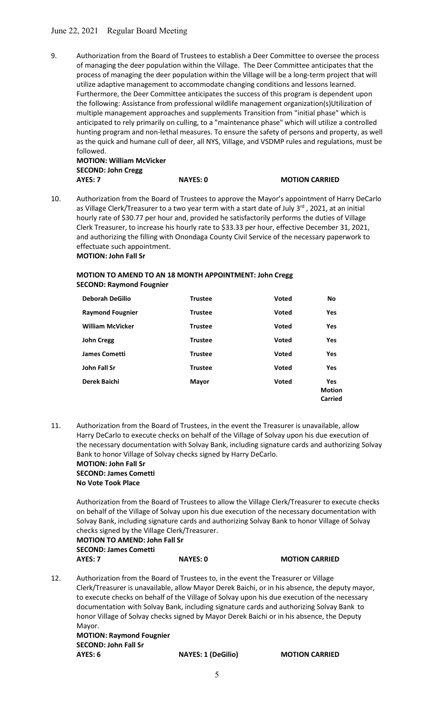# June 22, 2021 Regular Board Meeting

9. Authorization from the Board of Trustees to establish a Deer Committee to oversee the process of managing the deer population within the Village. The Deer Committee anticipates that the process of managing the deer population within the Village will be a long-term project that will utilize adaptive management to accommodate changing conditions and lessons learned. Furthermore, the Deer Committee anticipates the success of this program is dependent upon the following: Assistance from professional wildlife management organization(s)Utilization of multiple management approaches and supplements Transition from "initial phase" which is anticipated to rely primarily on culling, to a "maintenance phase" which will utilize a controlled hunting program and non-lethal measures. To ensure the safety of persons and property, as well as the quick and humane cull of deer, all NYS, Village, and VSDMP rules and regulations, must be followed.

 MOTION: William McVicker SECOND: John Cregg AYES: 7 NAYES: 0 MOTION CARRIED

10. Authorization from the Board of Trustees to approve the Mayor's appointment of Harry DeCarlo as Village Clerk/Treasurer to a two year term with a start date of July 3<sup>rd</sup>, 2021, at an initial hourly rate of \$30.77 per hour and, provided he satisfactorily performs the duties of Village Clerk Treasurer, to increase his hourly rate to \$33.33 per hour, effective December 31, 2021, and authorizing the filling with Onondaga County Civil Service of the necessary paperwork to effectuate such appointment. MOTION: John Fall Sr

# MOTION TO AMEND TO AN 18 MONTH APPOINTMENT: John Cregg SECOND: Raymond Fougnier

| <b>Deborah DeGilio</b>  | <b>Trustee</b> | <b>Voted</b> | No                                     |
|-------------------------|----------------|--------------|----------------------------------------|
| <b>Raymond Fougnier</b> | <b>Trustee</b> | <b>Voted</b> | Yes                                    |
| <b>William McVicker</b> | <b>Trustee</b> | <b>Voted</b> | Yes                                    |
| <b>John Cregg</b>       | <b>Trustee</b> | <b>Voted</b> | <b>Yes</b>                             |
| <b>James Cometti</b>    | <b>Trustee</b> | <b>Voted</b> | Yes                                    |
| John Fall Sr            | <b>Trustee</b> | <b>Voted</b> | Yes                                    |
| Derek Baichi            | <b>Mayor</b>   | <b>Voted</b> | <b>Yes</b><br><b>Motion</b><br>Carried |

11. Authorization from the Board of Trustees, in the event the Treasurer is unavailable, allow Harry DeCarlo to execute checks on behalf of the Village of Solvay upon his due execution of the necessary documentation with Solvay Bank, including signature cards and authorizing Solvay Bank to honor Village of Solvay checks signed by Harry DeCarlo.

#### MOTION: John Fall Sr SECOND: James Cometti No Vote Took Place

Authorization from the Board of Trustees to allow the Village Clerk/Treasurer to execute checks on behalf of the Village of Solvay upon his due execution of the necessary documentation with Solvay Bank, including signature cards and authorizing Solvay Bank to honor Village of Solvay checks signed by the Village Clerk/Treasurer.

 MOTION TO AMEND: John Fall Sr SECOND: James Cometti AYES: 7 NAYES: 0 MOTION CARRIED

12. Authorization from the Board of Trustees to, in the event the Treasurer or Village Clerk/Treasurer is unavailable, allow Mayor Derek Baichi, or in his absence, the deputy mayor, to execute checks on behalf of the Village of Solvay upon his due execution of the necessary documentation with Solvay Bank, including signature cards and authorizing Solvay Bank to honor Village of Solvay checks signed by Mayor Derek Baichi or in his absence, the Deputy Mayor.

 MOTION: Raymond Fougnier SECOND: John Fall Sr AYES: 6 NAYES: 1 (DeGilio) MOTION CARRIED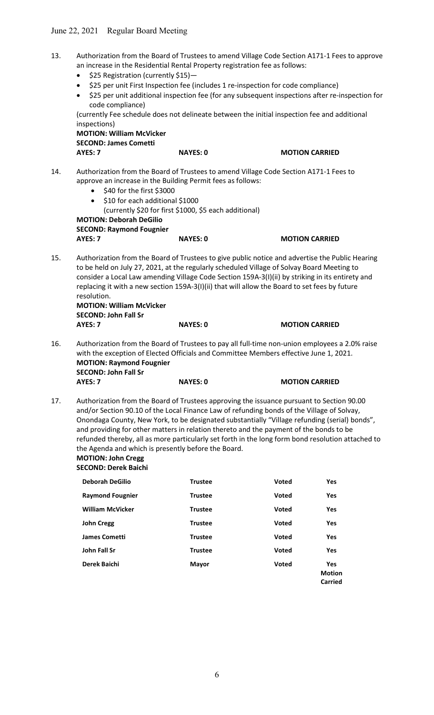- 13. Authorization from the Board of Trustees to amend Village Code Section A171-1 Fees to approve an increase in the Residential Rental Property registration fee as follows:
	- \$25 Registration (currently \$15)—
	- \$25 per unit First Inspection fee (includes 1 re-inspection for code compliance)
	- \$25 per unit additional inspection fee (for any subsequent inspections after re-inspection for code compliance)

(currently Fee schedule does not delineate between the initial inspection fee and additional inspections)

 MOTION: William McVicker SECOND: James Cometti AYES: 7 NAYES: 0 MOTION CARRIED

- 14. Authorization from the Board of Trustees to amend Village Code Section A171-1 Fees to approve an increase in the Building Permit fees as follows:
	- \$40 for the first \$3000
	- $\bullet$  \$10 for each additional \$1000

(currently \$20 for first \$1000, \$5 each additional)

 MOTION: Deborah DeGilio SECOND: Raymond Fougnier AYES: 7 NAYES: 0 MOTION CARRIED

15. Authorization from the Board of Trustees to give public notice and advertise the Public Hearing to be held on July 27, 2021, at the regularly scheduled Village of Solvay Board Meeting to consider a Local Law amending Village Code Section 159A-3(I)(ii) by striking in its entirety and replacing it with a new section 159A-3(I)(ii) that will allow the Board to set fees by future resolution.

 MOTION: William McVicker SECOND: John Fall Sr AYES: 7 NAYES: 0 MOTION CARRIED

16. Authorization from the Board of Trustees to pay all full-time non-union employees a 2.0% raise with the exception of Elected Officials and Committee Members effective June 1, 2021. MOTION: Raymond Fougnier SECOND: John Fall Sr

AYES: 7 NAYES: 0 MOTION CARRIED

17. Authorization from the Board of Trustees approving the issuance pursuant to Section 90.00 and/or Section 90.10 of the Local Finance Law of refunding bonds of the Village of Solvay, Onondaga County, New York, to be designated substantially "Village refunding (serial) bonds", and providing for other matters in relation thereto and the payment of the bonds to be refunded thereby, all as more particularly set forth in the long form bond resolution attached to the Agenda and which is presently before the Board.

#### MOTION: John Cregg SECOND: Derek Baichi

| <b>Deborah DeGilio</b>  | <b>Trustee</b> | <b>Voted</b> | <b>Yes</b>                             |
|-------------------------|----------------|--------------|----------------------------------------|
| <b>Raymond Fougnier</b> | <b>Trustee</b> | <b>Voted</b> | Yes                                    |
| <b>William McVicker</b> | <b>Trustee</b> | <b>Voted</b> | Yes                                    |
| <b>John Cregg</b>       | <b>Trustee</b> | <b>Voted</b> | Yes                                    |
| <b>James Cometti</b>    | <b>Trustee</b> | <b>Voted</b> | <b>Yes</b>                             |
| John Fall Sr            | <b>Trustee</b> | <b>Voted</b> | <b>Yes</b>                             |
| Derek Baichi            | <b>Mayor</b>   | <b>Voted</b> | <b>Yes</b><br><b>Motion</b><br>Carried |
|                         |                |              |                                        |